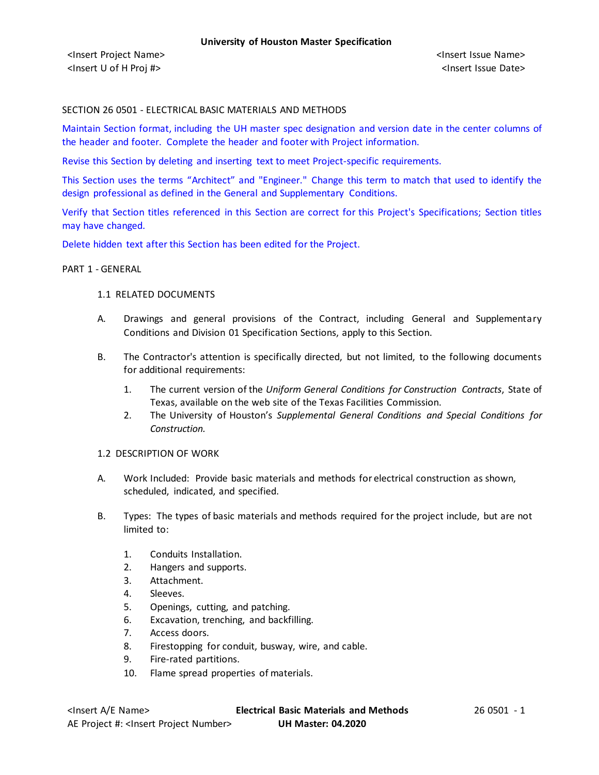### SECTION 26 0501 - ELECTRICAL BASIC MATERIALS AND METHODS

Maintain Section format, including the UH master spec designation and version date in the center columns of the header and footer. Complete the header and footer with Project information.

Revise this Section by deleting and inserting text to meet Project-specific requirements.

This Section uses the terms "Architect" and "Engineer." Change this term to match that used to identify the design professional as defined in the General and Supplementary Conditions.

Verify that Section titles referenced in this Section are correct for this Project's Specifications; Section titles may have changed.

Delete hidden text after this Section has been edited for the Project.

### PART 1 - GENERAL

#### 1.1 RELATED DOCUMENTS

- A. Drawings and general provisions of the Contract, including General and Supplementary Conditions and Division 01 Specification Sections, apply to this Section.
- B. The Contractor's attention is specifically directed, but not limited, to the following documents for additional requirements:
	- 1. The current version of the *Uniform General Conditions for Construction Contracts*, State of Texas, available on the web site of the Texas Facilities Commission.
	- 2. The University of Houston's *Supplemental General Conditions and Special Conditions for Construction.*

# 1.2 DESCRIPTION OF WORK

- A. Work Included: Provide basic materials and methods for electrical construction as shown, scheduled, indicated, and specified.
- B. Types: The types of basic materials and methods required for the project include, but are not limited to:
	- 1. Conduits Installation.
	- 2. Hangers and supports.
	- 3. Attachment.
	- 4. Sleeves.
	- 5. Openings, cutting, and patching.
	- 6. Excavation, trenching, and backfilling.
	- 7. Access doors.
	- 8. Firestopping for conduit, busway, wire, and cable.
	- 9. Fire-rated partitions.
	- 10. Flame spread properties of materials.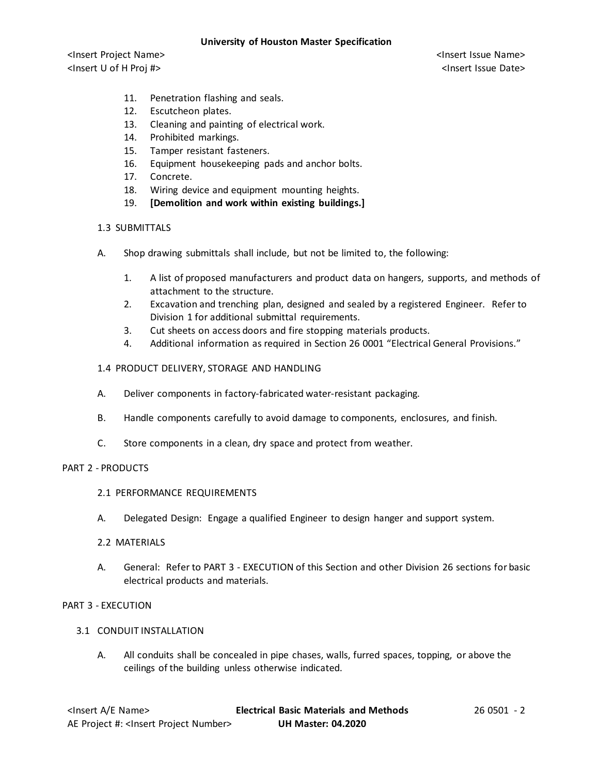<Insert Project Name> <Insert Issue Name> <Insert U of H Proj #> <Insert Issue Date>

- 11. Penetration flashing and seals.
- 12. Escutcheon plates.
- 13. Cleaning and painting of electrical work.
- 14. Prohibited markings.
- 15. Tamper resistant fasteners.
- 16. Equipment housekeeping pads and anchor bolts.
- 17. Concrete.
- 18. Wiring device and equipment mounting heights.
- 19. **[Demolition and work within existing buildings.]**

### 1.3 SUBMITTALS

- A. Shop drawing submittals shall include, but not be limited to, the following:
	- 1. A list of proposed manufacturers and product data on hangers, supports, and methods of attachment to the structure.
	- 2. Excavation and trenching plan, designed and sealed by a registered Engineer. Refer to Division 1 for additional submittal requirements.
	- 3. Cut sheets on access doors and fire stopping materials products.
	- 4. Additional information as required in Section 26 0001 "Electrical General Provisions."

# 1.4 PRODUCT DELIVERY, STORAGE AND HANDLING

- A. Deliver components in factory-fabricated water-resistant packaging.
- B. Handle components carefully to avoid damage to components, enclosures, and finish.
- C. Store components in a clean, dry space and protect from weather.

# PART 2 - PRODUCTS

- 2.1 PERFORMANCE REQUIREMENTS
- A. Delegated Design: Engage a qualified Engineer to design hanger and support system.

# 2.2 MATERIALS

A. General: Refer to PART 3 - EXECUTION of this Section and other Division 26 sections for basic electrical products and materials.

# PART 3 - EXECUTION

- 3.1 CONDUIT INSTALLATION
	- A. All conduits shall be concealed in pipe chases, walls, furred spaces, topping, or above the ceilings of the building unless otherwise indicated.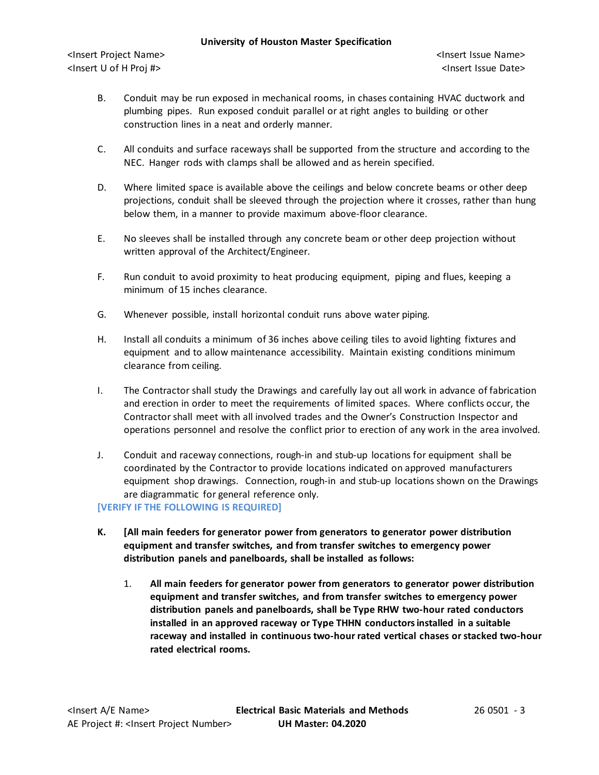<Insert Project Name> <Insert Issue Name> <Insert U of H Proj #> <Insert Issue Date>

- B. Conduit may be run exposed in mechanical rooms, in chases containing HVAC ductwork and plumbing pipes. Run exposed conduit parallel or at right angles to building or other construction lines in a neat and orderly manner.
- C. All conduits and surface raceways shall be supported from the structure and according to the NEC. Hanger rods with clamps shall be allowed and as herein specified.
- D. Where limited space is available above the ceilings and below concrete beams or other deep projections, conduit shall be sleeved through the projection where it crosses, rather than hung below them, in a manner to provide maximum above-floor clearance.
- E. No sleeves shall be installed through any concrete beam or other deep projection without written approval of the Architect/Engineer.
- F. Run conduit to avoid proximity to heat producing equipment, piping and flues, keeping a minimum of 15 inches clearance.
- G. Whenever possible, install horizontal conduit runs above water piping.
- H. Install all conduits a minimum of 36 inches above ceiling tiles to avoid lighting fixtures and equipment and to allow maintenance accessibility. Maintain existing conditions minimum clearance from ceiling.
- I. The Contractor shall study the Drawings and carefully lay out all work in advance of fabrication and erection in order to meet the requirements of limited spaces. Where conflicts occur, the Contractor shall meet with all involved trades and the Owner's Construction Inspector and operations personnel and resolve the conflict prior to erection of any work in the area involved.
- J. Conduit and raceway connections, rough-in and stub-up locations for equipment shall be coordinated by the Contractor to provide locations indicated on approved manufacturers equipment shop drawings. Connection, rough-in and stub-up locations shown on the Drawings are diagrammatic for general reference only.

**[VERIFY IF THE FOLLOWING IS REQUIRED]**

- **K. [All main feeders for generator power from generators to generator power distribution equipment and transfer switches, and from transfer switches to emergency power distribution panels and panelboards, shall be installed as follows:**
	- 1. **All main feeders for generator power from generators to generator power distribution equipment and transfer switches, and from transfer switches to emergency power distribution panels and panelboards, shall be Type RHW two-hour rated conductors installed in an approved raceway or Type THHN conductors installed in a suitable raceway and installed in continuous two-hour rated vertical chases or stacked two-hour rated electrical rooms.**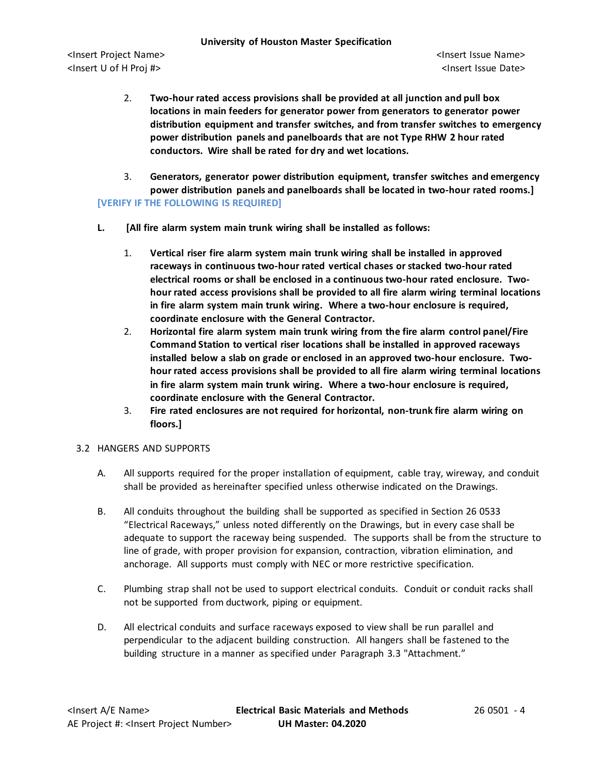- 2. **Two-hour rated access provisions shall be provided at all junction and pull box locations in main feeders for generator power from generators to generator power distribution equipment and transfer switches, and from transfer switches to emergency power distribution panels and panelboards that are not Type RHW 2 hour rated conductors. Wire shall be rated for dry and wet locations.**
- 3. **Generators, generator power distribution equipment, transfer switches and emergency power distribution panels and panelboards shall be located in two-hour rated rooms.] [VERIFY IF THE FOLLOWING IS REQUIRED]**
- **L. [All fire alarm system main trunk wiring shall be installed as follows:**
	- 1. **Vertical riser fire alarm system main trunk wiring shall be installed in approved raceways in continuous two-hour rated vertical chases or stacked two-hour rated electrical rooms or shall be enclosed in a continuous two-hour rated enclosure. Twohour rated access provisions shall be provided to all fire alarm wiring terminal locations in fire alarm system main trunk wiring. Where a two-hour enclosure is required, coordinate enclosure with the General Contractor.**
	- 2. **Horizontal fire alarm system main trunk wiring from the fire alarm control panel/Fire Command Station to vertical riser locations shall be installed in approved raceways installed below a slab on grade or enclosed in an approved two-hour enclosure. Twohour rated access provisions shall be provided to all fire alarm wiring terminal locations in fire alarm system main trunk wiring. Where a two-hour enclosure is required, coordinate enclosure with the General Contractor.**
	- 3. **Fire rated enclosures are not required for horizontal, non-trunk fire alarm wiring on floors.]**

# 3.2 HANGERS AND SUPPORTS

- A. All supports required for the proper installation of equipment, cable tray, wireway, and conduit shall be provided as hereinafter specified unless otherwise indicated on the Drawings.
- B. All conduits throughout the building shall be supported as specified in Section 26 0533 "Electrical Raceways," unless noted differently on the Drawings, but in every case shall be adequate to support the raceway being suspended. The supports shall be from the structure to line of grade, with proper provision for expansion, contraction, vibration elimination, and anchorage. All supports must comply with NEC or more restrictive specification.
- C. Plumbing strap shall not be used to support electrical conduits. Conduit or conduit racks shall not be supported from ductwork, piping or equipment.
- D. All electrical conduits and surface raceways exposed to view shall be run parallel and perpendicular to the adjacent building construction. All hangers shall be fastened to the building structure in a manner as specified under Paragraph 3.3 "Attachment."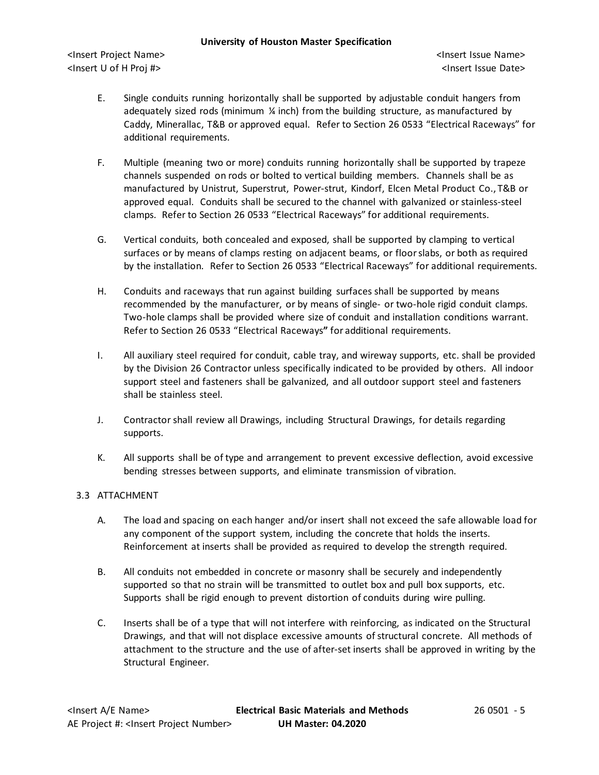<Insert Project Name> <Insert Issue Name> <Insert U of H Proj #> <Insert Issue Date>

- E. Single conduits running horizontally shall be supported by adjustable conduit hangers from adequately sized rods (minimum  $\frac{1}{4}$  inch) from the building structure, as manufactured by Caddy, Minerallac, T&B or approved equal. Refer to Section 26 0533 "Electrical Raceways" for additional requirements.
- F. Multiple (meaning two or more) conduits running horizontally shall be supported by trapeze channels suspended on rods or bolted to vertical building members. Channels shall be as manufactured by Unistrut, Superstrut, Power-strut, Kindorf, Elcen Metal Product Co., T&B or approved equal. Conduits shall be secured to the channel with galvanized or stainless-steel clamps. Refer to Section 26 0533 "Electrical Raceways" for additional requirements.
- G. Vertical conduits, both concealed and exposed, shall be supported by clamping to vertical surfaces or by means of clamps resting on adjacent beams, or floor slabs, or both as required by the installation. Refer to Section 26 0533 "Electrical Raceways" for additional requirements.
- H. Conduits and raceways that run against building surfaces shall be supported by means recommended by the manufacturer, or by means of single- or two-hole rigid conduit clamps. Two-hole clamps shall be provided where size of conduit and installation conditions warrant. Refer to Section 26 0533 "Electrical Raceways**"** for additional requirements.
- I. All auxiliary steel required for conduit, cable tray, and wireway supports, etc. shall be provided by the Division 26 Contractor unless specifically indicated to be provided by others. All indoor support steel and fasteners shall be galvanized, and all outdoor support steel and fasteners shall be stainless steel.
- J. Contractor shall review all Drawings, including Structural Drawings, for details regarding supports.
- K. All supports shall be of type and arrangement to prevent excessive deflection, avoid excessive bending stresses between supports, and eliminate transmission of vibration.

# 3.3 ATTACHMENT

- A. The load and spacing on each hanger and/or insert shall not exceed the safe allowable load for any component of the support system, including the concrete that holds the inserts. Reinforcement at inserts shall be provided as required to develop the strength required.
- B. All conduits not embedded in concrete or masonry shall be securely and independently supported so that no strain will be transmitted to outlet box and pull box supports, etc. Supports shall be rigid enough to prevent distortion of conduits during wire pulling.
- C. Inserts shall be of a type that will not interfere with reinforcing, as indicated on the Structural Drawings, and that will not displace excessive amounts of structural concrete. All methods of attachment to the structure and the use of after-set inserts shall be approved in writing by the Structural Engineer.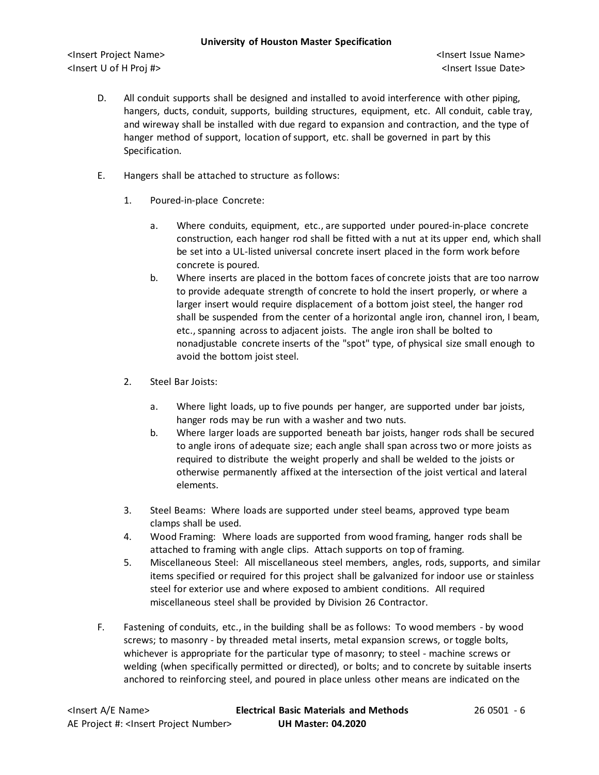<Insert Project Name> <Insert Issue Name> <Insert U of H Proj #> <Insert Issue Date>

- D. All conduit supports shall be designed and installed to avoid interference with other piping, hangers, ducts, conduit, supports, building structures, equipment, etc. All conduit, cable tray, and wireway shall be installed with due regard to expansion and contraction, and the type of hanger method of support, location of support, etc. shall be governed in part by this Specification.
- E. Hangers shall be attached to structure as follows:
	- 1. Poured-in-place Concrete:
		- a. Where conduits, equipment, etc., are supported under poured-in-place concrete construction, each hanger rod shall be fitted with a nut at its upper end, which shall be set into a UL-listed universal concrete insert placed in the form work before concrete is poured.
		- b. Where inserts are placed in the bottom faces of concrete joists that are too narrow to provide adequate strength of concrete to hold the insert properly, or where a larger insert would require displacement of a bottom joist steel, the hanger rod shall be suspended from the center of a horizontal angle iron, channel iron, I beam, etc., spanning across to adjacent joists. The angle iron shall be bolted to nonadjustable concrete inserts of the "spot" type, of physical size small enough to avoid the bottom joist steel.
	- 2. Steel Bar Joists:
		- a. Where light loads, up to five pounds per hanger, are supported under bar joists, hanger rods may be run with a washer and two nuts.
		- b. Where larger loads are supported beneath bar joists, hanger rods shall be secured to angle irons of adequate size; each angle shall span across two or more joists as required to distribute the weight properly and shall be welded to the joists or otherwise permanently affixed at the intersection of the joist vertical and lateral elements.
	- 3. Steel Beams: Where loads are supported under steel beams, approved type beam clamps shall be used.
	- 4. Wood Framing: Where loads are supported from wood framing, hanger rods shall be attached to framing with angle clips. Attach supports on top of framing.
	- 5. Miscellaneous Steel: All miscellaneous steel members, angles, rods, supports, and similar items specified or required for this project shall be galvanized for indoor use or stainless steel for exterior use and where exposed to ambient conditions. All required miscellaneous steel shall be provided by Division 26 Contractor.
- F. Fastening of conduits, etc., in the building shall be as follows: To wood members by wood screws; to masonry - by threaded metal inserts, metal expansion screws, or toggle bolts, whichever is appropriate for the particular type of masonry; to steel - machine screws or welding (when specifically permitted or directed), or bolts; and to concrete by suitable inserts anchored to reinforcing steel, and poured in place unless other means are indicated on the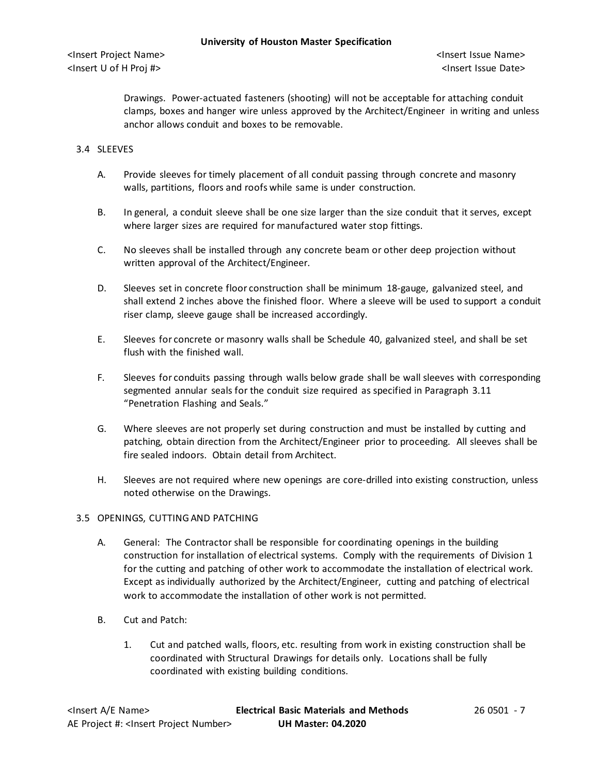Drawings. Power-actuated fasteners (shooting) will not be acceptable for attaching conduit clamps, boxes and hanger wire unless approved by the Architect/Engineer in writing and unless anchor allows conduit and boxes to be removable.

# 3.4 SLEEVES

- A. Provide sleeves for timely placement of all conduit passing through concrete and masonry walls, partitions, floors and roofs while same is under construction.
- B. In general, a conduit sleeve shall be one size larger than the size conduit that it serves, except where larger sizes are required for manufactured water stop fittings.
- C. No sleeves shall be installed through any concrete beam or other deep projection without written approval of the Architect/Engineer.
- D. Sleeves set in concrete floor construction shall be minimum 18-gauge, galvanized steel, and shall extend 2 inches above the finished floor. Where a sleeve will be used to support a conduit riser clamp, sleeve gauge shall be increased accordingly.
- E. Sleeves for concrete or masonry walls shall be Schedule 40, galvanized steel, and shall be set flush with the finished wall.
- F. Sleeves for conduits passing through walls below grade shall be wall sleeves with corresponding segmented annular seals for the conduit size required as specified in Paragraph 3.11 "Penetration Flashing and Seals."
- G. Where sleeves are not properly set during construction and must be installed by cutting and patching, obtain direction from the Architect/Engineer prior to proceeding. All sleeves shall be fire sealed indoors. Obtain detail from Architect.
- H. Sleeves are not required where new openings are core-drilled into existing construction, unless noted otherwise on the Drawings.

# 3.5 OPENINGS, CUTTING AND PATCHING

- A. General: The Contractor shall be responsible for coordinating openings in the building construction for installation of electrical systems. Comply with the requirements of Division 1 for the cutting and patching of other work to accommodate the installation of electrical work. Except as individually authorized by the Architect/Engineer, cutting and patching of electrical work to accommodate the installation of other work is not permitted.
- B. Cut and Patch:
	- 1. Cut and patched walls, floors, etc. resulting from work in existing construction shall be coordinated with Structural Drawings for details only. Locations shall be fully coordinated with existing building conditions.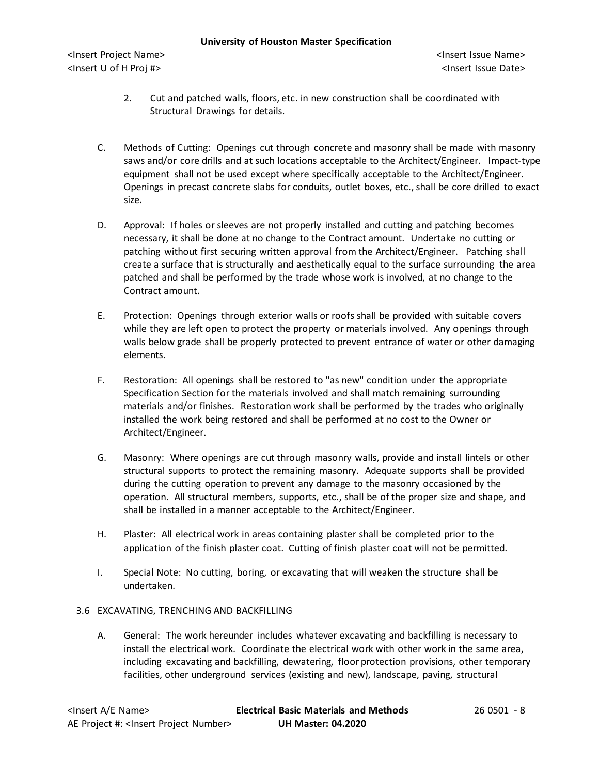- 2. Cut and patched walls, floors, etc. in new construction shall be coordinated with Structural Drawings for details.
- C. Methods of Cutting: Openings cut through concrete and masonry shall be made with masonry saws and/or core drills and at such locations acceptable to the Architect/Engineer. Impact-type equipment shall not be used except where specifically acceptable to the Architect/Engineer. Openings in precast concrete slabs for conduits, outlet boxes, etc., shall be core drilled to exact size.
- D. Approval: If holes or sleeves are not properly installed and cutting and patching becomes necessary, it shall be done at no change to the Contract amount. Undertake no cutting or patching without first securing written approval from the Architect/Engineer. Patching shall create a surface that is structurally and aesthetically equal to the surface surrounding the area patched and shall be performed by the trade whose work is involved, at no change to the Contract amount.
- E. Protection: Openings through exterior walls or roofs shall be provided with suitable covers while they are left open to protect the property or materials involved. Any openings through walls below grade shall be properly protected to prevent entrance of water or other damaging elements.
- F. Restoration: All openings shall be restored to "as new" condition under the appropriate Specification Section for the materials involved and shall match remaining surrounding materials and/or finishes. Restoration work shall be performed by the trades who originally installed the work being restored and shall be performed at no cost to the Owner or Architect/Engineer.
- G. Masonry: Where openings are cut through masonry walls, provide and install lintels or other structural supports to protect the remaining masonry. Adequate supports shall be provided during the cutting operation to prevent any damage to the masonry occasioned by the operation. All structural members, supports, etc., shall be of the proper size and shape, and shall be installed in a manner acceptable to the Architect/Engineer.
- H. Plaster: All electrical work in areas containing plaster shall be completed prior to the application of the finish plaster coat. Cutting of finish plaster coat will not be permitted.
- I. Special Note: No cutting, boring, or excavating that will weaken the structure shall be undertaken.
- 3.6 EXCAVATING, TRENCHING AND BACKFILLING
	- A. General: The work hereunder includes whatever excavating and backfilling is necessary to install the electrical work. Coordinate the electrical work with other work in the same area, including excavating and backfilling, dewatering, floor protection provisions, other temporary facilities, other underground services (existing and new), landscape, paving, structural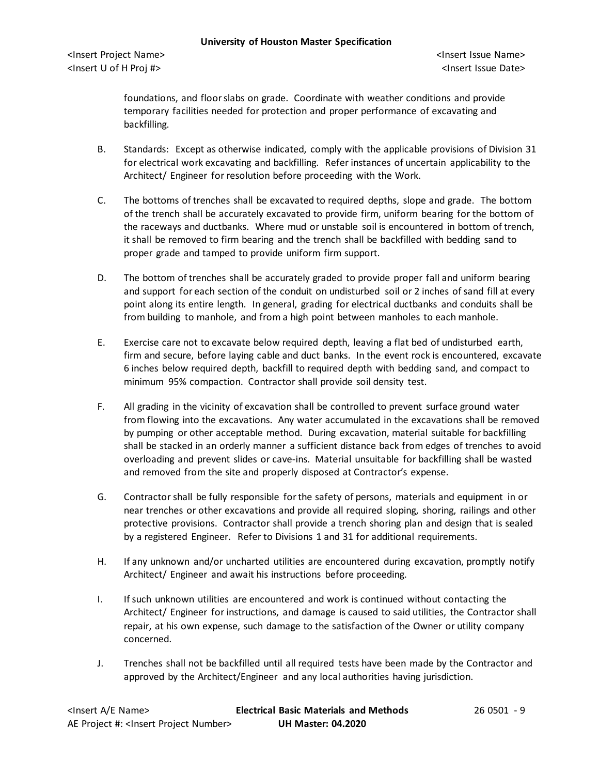foundations, and floor slabs on grade. Coordinate with weather conditions and provide temporary facilities needed for protection and proper performance of excavating and backfilling.

- B. Standards: Except as otherwise indicated, comply with the applicable provisions of Division 31 for electrical work excavating and backfilling. Refer instances of uncertain applicability to the Architect/ Engineer for resolution before proceeding with the Work.
- C. The bottoms of trenches shall be excavated to required depths, slope and grade. The bottom of the trench shall be accurately excavated to provide firm, uniform bearing for the bottom of the raceways and ductbanks. Where mud or unstable soil is encountered in bottom of trench, it shall be removed to firm bearing and the trench shall be backfilled with bedding sand to proper grade and tamped to provide uniform firm support.
- D. The bottom of trenches shall be accurately graded to provide proper fall and uniform bearing and support for each section of the conduit on undisturbed soil or 2 inches of sand fill at every point along its entire length. In general, grading for electrical ductbanks and conduits shall be from building to manhole, and from a high point between manholes to each manhole.
- E. Exercise care not to excavate below required depth, leaving a flat bed of undisturbed earth, firm and secure, before laying cable and duct banks. In the event rock is encountered, excavate 6 inches below required depth, backfill to required depth with bedding sand, and compact to minimum 95% compaction. Contractor shall provide soil density test.
- F. All grading in the vicinity of excavation shall be controlled to prevent surface ground water from flowing into the excavations. Any water accumulated in the excavations shall be removed by pumping or other acceptable method. During excavation, material suitable for backfilling shall be stacked in an orderly manner a sufficient distance back from edges of trenches to avoid overloading and prevent slides or cave-ins. Material unsuitable for backfilling shall be wasted and removed from the site and properly disposed at Contractor's expense.
- G. Contractor shall be fully responsible for the safety of persons, materials and equipment in or near trenches or other excavations and provide all required sloping, shoring, railings and other protective provisions. Contractor shall provide a trench shoring plan and design that is sealed by a registered Engineer. Refer to Divisions 1 and 31 for additional requirements.
- H. If any unknown and/or uncharted utilities are encountered during excavation, promptly notify Architect/ Engineer and await his instructions before proceeding.
- I. If such unknown utilities are encountered and work is continued without contacting the Architect/ Engineer for instructions, and damage is caused to said utilities, the Contractor shall repair, at his own expense, such damage to the satisfaction of the Owner or utility company concerned.
- J. Trenches shall not be backfilled until all required tests have been made by the Contractor and approved by the Architect/Engineer and any local authorities having jurisdiction.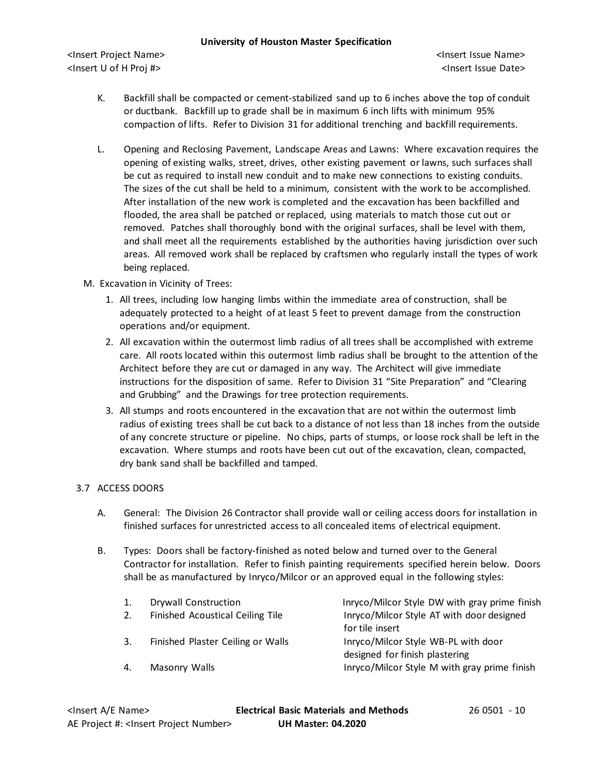<Insert Project Name> <Insert Issue Name> <Insert U of H Proj #> <Insert Issue Date>

- K. Backfill shall be compacted or cement-stabilized sand up to 6 inches above the top of conduit or ductbank. Backfill up to grade shall be in maximum 6 inch lifts with minimum 95% compaction of lifts. Refer to Division 31 for additional trenching and backfill requirements.
- L. Opening and Reclosing Pavement, Landscape Areas and Lawns: Where excavation requires the opening of existing walks, street, drives, other existing pavement or lawns, such surfaces shall be cut as required to install new conduit and to make new connections to existing conduits. The sizes of the cut shall be held to a minimum, consistent with the work to be accomplished. After installation of the new work is completed and the excavation has been backfilled and flooded, the area shall be patched or replaced, using materials to match those cut out or removed. Patches shall thoroughly bond with the original surfaces, shall be level with them, and shall meet all the requirements established by the authorities having jurisdiction over such areas. All removed work shall be replaced by craftsmen who regularly install the types of work being replaced.

# M. Excavation in Vicinity of Trees:

- 1. All trees, including low hanging limbs within the immediate area of construction, shall be adequately protected to a height of at least 5 feet to prevent damage from the construction operations and/or equipment.
- 2. All excavation within the outermost limb radius of all trees shall be accomplished with extreme care. All roots located within this outermost limb radius shall be brought to the attention of the Architect before they are cut or damaged in any way. The Architect will give immediate instructions for the disposition of same. Refer to Division 31 "Site Preparation" and "Clearing and Grubbing" and the Drawings for tree protection requirements.
- 3. All stumps and roots encountered in the excavation that are not within the outermost limb radius of existing trees shall be cut back to a distance of not less than 18 inches from the outside of any concrete structure or pipeline. No chips, parts of stumps, or loose rock shall be left in the excavation. Where stumps and roots have been cut out of the excavation, clean, compacted, dry bank sand shall be backfilled and tamped.

# 3.7 ACCESS DOORS

- A. General: The Division 26 Contractor shall provide wall or ceiling access doors for installation in finished surfaces for unrestricted access to all concealed items of electrical equipment.
- B. Types: Doors shall be factory-finished as noted below and turned over to the General Contractor for installation. Refer to finish painting requirements specified herein below. Doors shall be as manufactured by Inryco/Milcor or an approved equal in the following styles:

| 1. | Drywall Construction              | Inryco/Milcor Style DW with gray prime finish |
|----|-----------------------------------|-----------------------------------------------|
| 2. | Finished Acoustical Ceiling Tile  | Inryco/Milcor Style AT with door designed     |
|    |                                   | for tile insert                               |
| 3. | Finished Plaster Ceiling or Walls | Inryco/Milcor Style WB-PL with door           |
|    |                                   | designed for finish plastering                |
| 4. | Masonry Walls                     | Inryco/Milcor Style M with gray prime finish  |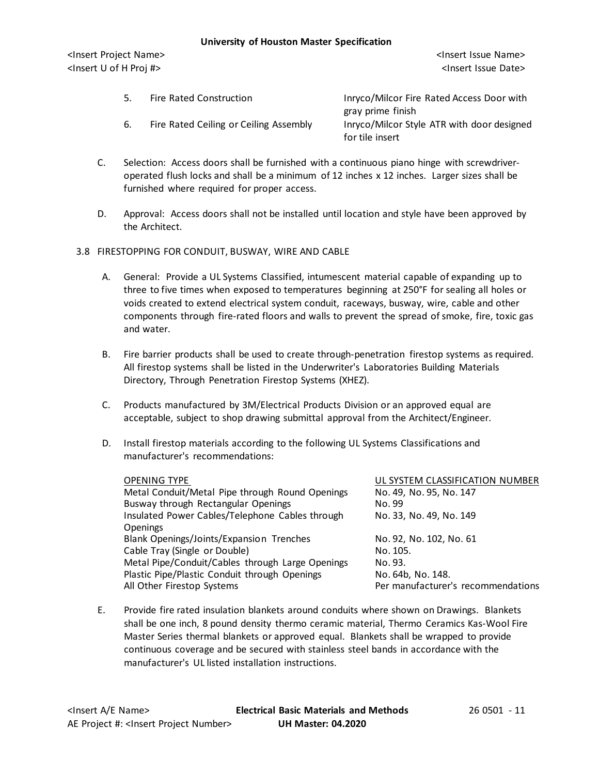<Insert Project Name> <Insert Issue Name> <Insert U of H Proj #> <Insert Issue Date>

- 5. Fire Rated Construction Inryco/Milcor Fire Rated Access Door with gray prime finish 6. Fire Rated Ceiling or Ceiling Assembly Inryco/Milcor Style ATR with door designed for tile insert
- C. Selection: Access doors shall be furnished with a continuous piano hinge with screwdriveroperated flush locks and shall be a minimum of 12 inches x 12 inches. Larger sizes shall be furnished where required for proper access.
- D. Approval: Access doors shall not be installed until location and style have been approved by the Architect.

# 3.8 FIRESTOPPING FOR CONDUIT, BUSWAY, WIRE AND CABLE

- A. General: Provide a UL Systems Classified, intumescent material capable of expanding up to three to five times when exposed to temperatures beginning at 250°F for sealing all holes or voids created to extend electrical system conduit, raceways, busway, wire, cable and other components through fire-rated floors and walls to prevent the spread of smoke, fire, toxic gas and water.
- B. Fire barrier products shall be used to create through-penetration firestop systems as required. All firestop systems shall be listed in the Underwriter's Laboratories Building Materials Directory, Through Penetration Firestop Systems (XHEZ).
- C. Products manufactured by 3M/Electrical Products Division or an approved equal are acceptable, subject to shop drawing submittal approval from the Architect/Engineer.
- D. Install firestop materials according to the following UL Systems Classifications and manufacturer's recommendations:

| <b>OPENING TYPE</b>                              | UL SYSTEM CLASSIFICATION NUMBER    |
|--------------------------------------------------|------------------------------------|
| Metal Conduit/Metal Pipe through Round Openings  | No. 49, No. 95, No. 147            |
| Busway through Rectangular Openings              | No. 99                             |
| Insulated Power Cables/Telephone Cables through  | No. 33, No. 49, No. 149            |
| <b>Openings</b>                                  |                                    |
| Blank Openings/Joints/Expansion Trenches         | No. 92, No. 102, No. 61            |
| Cable Tray (Single or Double)                    | No. 105.                           |
| Metal Pipe/Conduit/Cables through Large Openings | No. 93.                            |
| Plastic Pipe/Plastic Conduit through Openings    | No. 64b, No. 148.                  |
| All Other Firestop Systems                       | Per manufacturer's recommendations |

E. Provide fire rated insulation blankets around conduits where shown on Drawings. Blankets shall be one inch, 8 pound density thermo ceramic material, Thermo Ceramics Kas-Wool Fire Master Series thermal blankets or approved equal. Blankets shall be wrapped to provide continuous coverage and be secured with stainless steel bands in accordance with the manufacturer's UL listed installation instructions.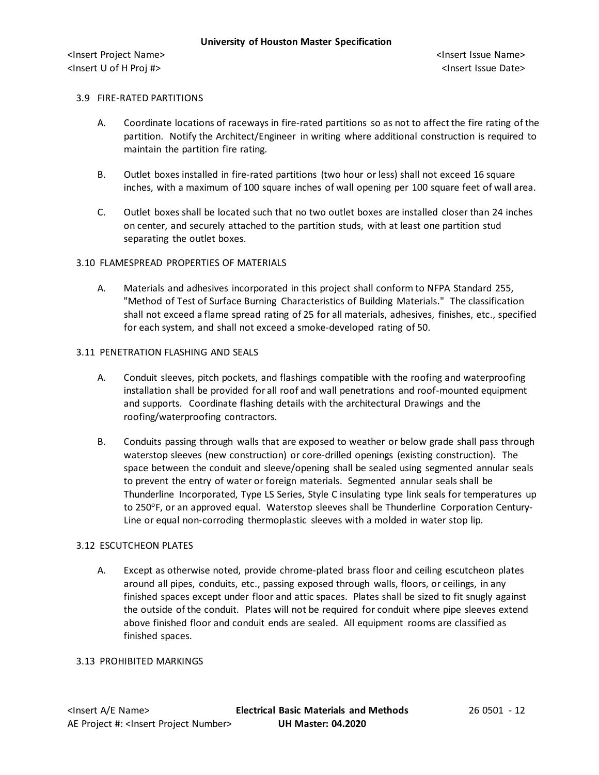### 3.9 FIRE-RATED PARTITIONS

- A. Coordinate locations of raceways in fire-rated partitions so as not to affectthe fire rating of the partition. Notify the Architect/Engineer in writing where additional construction is required to maintain the partition fire rating.
- B. Outlet boxes installed in fire-rated partitions (two hour or less) shall not exceed 16 square inches, with a maximum of 100 square inches of wall opening per 100 square feet of wall area.
- C. Outlet boxes shall be located such that no two outlet boxes are installed closer than 24 inches on center, and securely attached to the partition studs, with at least one partition stud separating the outlet boxes.

# 3.10 FLAMESPREAD PROPERTIES OF MATERIALS

A. Materials and adhesives incorporated in this project shall conform to NFPA Standard 255, "Method of Test of Surface Burning Characteristics of Building Materials." The classification shall not exceed a flame spread rating of 25 for all materials, adhesives, finishes, etc., specified for each system, and shall not exceed a smoke-developed rating of 50.

### 3.11 PENETRATION FLASHING AND SEALS

- A. Conduit sleeves, pitch pockets, and flashings compatible with the roofing and waterproofing installation shall be provided for all roof and wall penetrations and roof-mounted equipment and supports. Coordinate flashing details with the architectural Drawings and the roofing/waterproofing contractors.
- B. Conduits passing through walls that are exposed to weather or below grade shall pass through waterstop sleeves (new construction) or core-drilled openings (existing construction). The space between the conduit and sleeve/opening shall be sealed using segmented annular seals to prevent the entry of water or foreign materials. Segmented annular seals shall be Thunderline Incorporated, Type LS Series, Style C insulating type link seals for temperatures up to 250°F, or an approved equal. Waterstop sleeves shall be Thunderline Corporation Century-Line or equal non-corroding thermoplastic sleeves with a molded in water stop lip.

#### 3.12 ESCUTCHEON PLATES

A. Except as otherwise noted, provide chrome-plated brass floor and ceiling escutcheon plates around all pipes, conduits, etc., passing exposed through walls, floors, or ceilings, in any finished spaces except under floor and attic spaces. Plates shall be sized to fit snugly against the outside of the conduit. Plates will not be required for conduit where pipe sleeves extend above finished floor and conduit ends are sealed. All equipment rooms are classified as finished spaces.

#### 3.13 PROHIBITED MARKINGS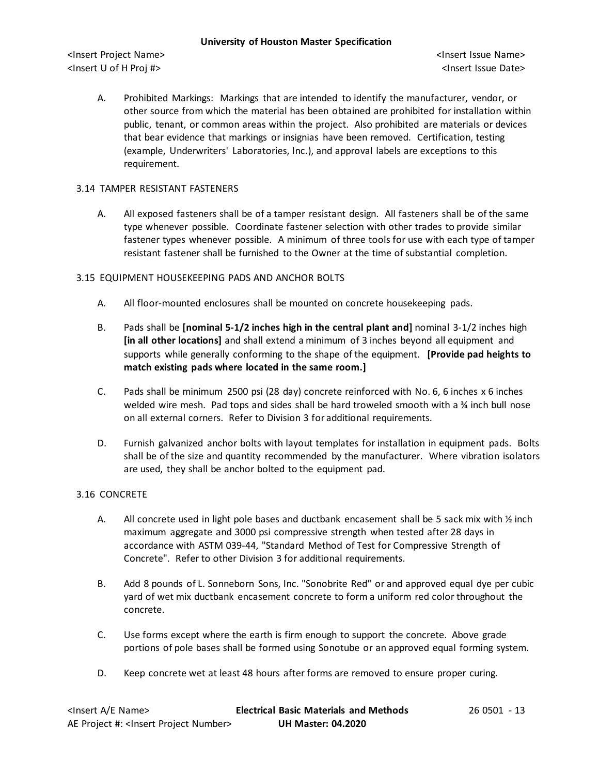<Insert Project Name> <Insert Issue Name> <Insert U of H Proj #> <Insert Issue Date>

A. Prohibited Markings: Markings that are intended to identify the manufacturer, vendor, or other source from which the material has been obtained are prohibited for installation within public, tenant, or common areas within the project. Also prohibited are materials or devices that bear evidence that markings or insignias have been removed. Certification, testing (example, Underwriters' Laboratories, Inc.), and approval labels are exceptions to this requirement.

# 3.14 TAMPER RESISTANT FASTENERS

A. All exposed fasteners shall be of a tamper resistant design. All fasteners shall be of the same type whenever possible. Coordinate fastener selection with other trades to provide similar fastener types whenever possible. A minimum of three tools for use with each type of tamper resistant fastener shall be furnished to the Owner at the time of substantial completion.

# 3.15 EQUIPMENT HOUSEKEEPING PADS AND ANCHOR BOLTS

- A. All floor-mounted enclosures shall be mounted on concrete housekeeping pads.
- B. Pads shall be **[nominal 5-1/2 inches high in the central plant and]** nominal 3-1/2 inches high **[in all other locations]** and shall extend a minimum of 3 inches beyond all equipment and supports while generally conforming to the shape of the equipment. **[Provide pad heights to match existing pads where located in the same room.]**
- C. Pads shall be minimum 2500 psi (28 day) concrete reinforced with No. 6, 6 inches x 6 inches welded wire mesh. Pad tops and sides shall be hard troweled smooth with a % inch bull nose on all external corners. Refer to Division 3 for additional requirements.
- D. Furnish galvanized anchor bolts with layout templates for installation in equipment pads. Bolts shall be of the size and quantity recommended by the manufacturer. Where vibration isolators are used, they shall be anchor bolted to the equipment pad.

# 3.16 CONCRETE

- A. All concrete used in light pole bases and ductbank encasement shall be 5 sack mix with  $\frac{1}{2}$  inch maximum aggregate and 3000 psi compressive strength when tested after 28 days in accordance with ASTM 039-44, "Standard Method of Test for Compressive Strength of Concrete". Refer to other Division 3 for additional requirements.
- B. Add 8 pounds of L. Sonneborn Sons, Inc. "Sonobrite Red" or and approved equal dye per cubic yard of wet mix ductbank encasement concrete to form a uniform red color throughout the concrete.
- C. Use forms except where the earth is firm enough to support the concrete. Above grade portions of pole bases shall be formed using Sonotube or an approved equal forming system.
- D. Keep concrete wet at least 48 hours after forms are removed to ensure proper curing.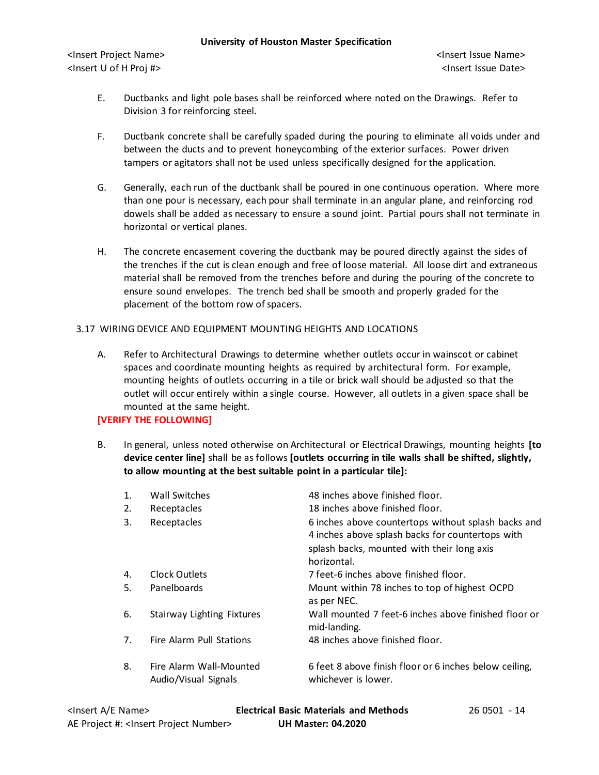- E. Ductbanks and light pole bases shall be reinforced where noted on the Drawings. Refer to Division 3 for reinforcing steel.
- F. Ductbank concrete shall be carefully spaded during the pouring to eliminate all voids under and between the ducts and to prevent honeycombing of the exterior surfaces. Power driven tampers or agitators shall not be used unless specifically designed for the application.
- G. Generally, each run of the ductbank shall be poured in one continuous operation. Where more than one pour is necessary, each pour shall terminate in an angular plane, and reinforcing rod dowels shall be added as necessary to ensure a sound joint. Partial pours shall not terminate in horizontal or vertical planes.
- H. The concrete encasement covering the ductbank may be poured directly against the sides of the trenches if the cut is clean enough and free of loose material. All loose dirt and extraneous material shall be removed from the trenches before and during the pouring of the concrete to ensure sound envelopes. The trench bed shall be smooth and properly graded for the placement of the bottom row of spacers.

# 3.17 WIRING DEVICE AND EQUIPMENT MOUNTING HEIGHTS AND LOCATIONS

A. Refer to Architectural Drawings to determine whether outlets occur in wainscot or cabinet spaces and coordinate mounting heights as required by architectural form. For example, mounting heights of outlets occurring in a tile or brick wall should be adjusted so that the outlet will occur entirely within a single course. However, all outlets in a given space shall be mounted at the same height.

# **[VERIFY THE FOLLOWING]**

B. In general, unless noted otherwise on Architectural or Electrical Drawings, mounting heights **[to device center line]** shall be as follows **[outlets occurring in tile walls shall be shifted, slightly, to allow mounting at the best suitable point in a particular tile]:**

| 1. | <b>Wall Switches</b>                            | 48 inches above finished floor.                                                                                                                                      |
|----|-------------------------------------------------|----------------------------------------------------------------------------------------------------------------------------------------------------------------------|
| 2. | Receptacles                                     | 18 inches above finished floor.                                                                                                                                      |
| 3. | Receptacles                                     | 6 inches above countertops without splash backs and<br>4 inches above splash backs for countertops with<br>splash backs, mounted with their long axis<br>horizontal. |
| 4. | Clock Outlets                                   | 7 feet-6 inches above finished floor.                                                                                                                                |
| 5. | Panelboards                                     | Mount within 78 inches to top of highest OCPD<br>as per NEC.                                                                                                         |
| 6. | Stairway Lighting Fixtures                      | Wall mounted 7 feet-6 inches above finished floor or<br>mid-landing.                                                                                                 |
| 7. | Fire Alarm Pull Stations                        | 48 inches above finished floor.                                                                                                                                      |
| 8. | Fire Alarm Wall-Mounted<br>Audio/Visual Signals | 6 feet 8 above finish floor or 6 inches below ceiling,<br>whichever is lower.                                                                                        |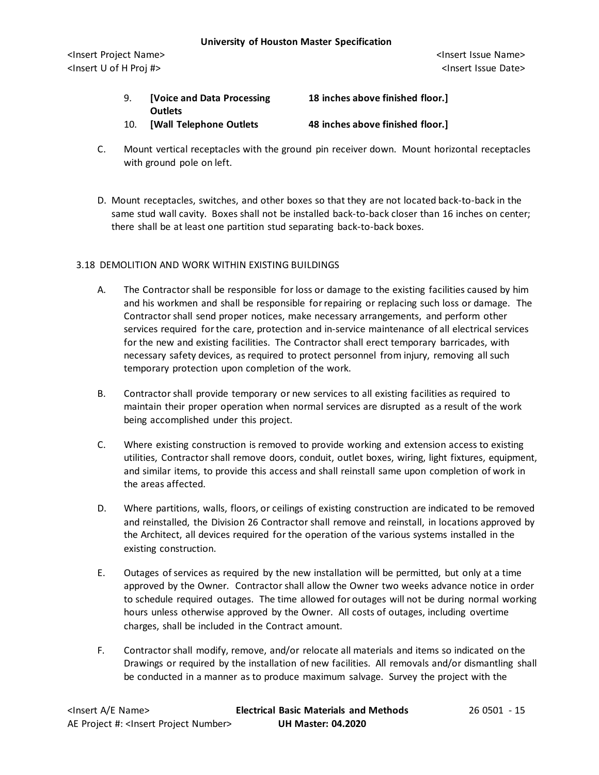- 9. **[Voice and Data Processing 18 inches above finished floor.] Outlets** 10. **[Wall Telephone Outlets 48 inches above finished floor.]**
- C. Mount vertical receptacles with the ground pin receiver down. Mount horizontal receptacles with ground pole on left.
- D. Mount receptacles, switches, and other boxes so that they are not located back-to-back in the same stud wall cavity. Boxes shall not be installed back-to-back closer than 16 inches on center; there shall be at least one partition stud separating back-to-back boxes.

# 3.18 DEMOLITION AND WORK WITHIN EXISTING BUILDINGS

- A. The Contractor shall be responsible for loss or damage to the existing facilities caused by him and his workmen and shall be responsible for repairing or replacing such loss or damage. The Contractor shall send proper notices, make necessary arrangements, and perform other services required for the care, protection and in-service maintenance of all electrical services for the new and existing facilities. The Contractor shall erect temporary barricades, with necessary safety devices, as required to protect personnel from injury, removing all such temporary protection upon completion of the work.
- B. Contractor shall provide temporary or new services to all existing facilities as required to maintain their proper operation when normal services are disrupted as a result of the work being accomplished under this project.
- C. Where existing construction is removed to provide working and extension access to existing utilities, Contractor shall remove doors, conduit, outlet boxes, wiring, light fixtures, equipment, and similar items, to provide this access and shall reinstall same upon completion of work in the areas affected.
- D. Where partitions, walls, floors, or ceilings of existing construction are indicated to be removed and reinstalled, the Division 26 Contractor shall remove and reinstall, in locations approved by the Architect, all devices required for the operation of the various systems installed in the existing construction.
- E. Outages of services as required by the new installation will be permitted, but only at a time approved by the Owner. Contractor shall allow the Owner two weeks advance notice in order to schedule required outages. The time allowed for outages will not be during normal working hours unless otherwise approved by the Owner. All costs of outages, including overtime charges, shall be included in the Contract amount.
- F. Contractor shall modify, remove, and/or relocate all materials and items so indicated on the Drawings or required by the installation of new facilities. All removals and/or dismantling shall be conducted in a manner as to produce maximum salvage. Survey the project with the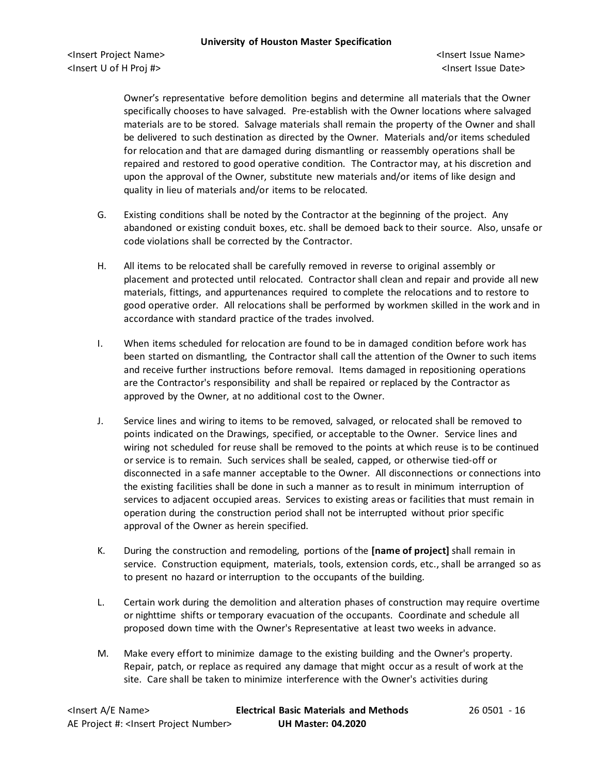Owner's representative before demolition begins and determine all materials that the Owner specifically chooses to have salvaged. Pre-establish with the Owner locations where salvaged materials are to be stored. Salvage materials shall remain the property of the Owner and shall be delivered to such destination as directed by the Owner. Materials and/or items scheduled for relocation and that are damaged during dismantling or reassembly operations shall be repaired and restored to good operative condition. The Contractor may, at his discretion and upon the approval of the Owner, substitute new materials and/or items of like design and quality in lieu of materials and/or items to be relocated.

- G. Existing conditions shall be noted by the Contractor at the beginning of the project. Any abandoned or existing conduit boxes, etc. shall be demoed back to their source. Also, unsafe or code violations shall be corrected by the Contractor.
- H. All items to be relocated shall be carefully removed in reverse to original assembly or placement and protected until relocated. Contractor shall clean and repair and provide all new materials, fittings, and appurtenances required to complete the relocations and to restore to good operative order. All relocations shall be performed by workmen skilled in the work and in accordance with standard practice of the trades involved.
- I. When items scheduled for relocation are found to be in damaged condition before work has been started on dismantling, the Contractor shall call the attention of the Owner to such items and receive further instructions before removal. Items damaged in repositioning operations are the Contractor's responsibility and shall be repaired or replaced by the Contractor as approved by the Owner, at no additional cost to the Owner.
- J. Service lines and wiring to items to be removed, salvaged, or relocated shall be removed to points indicated on the Drawings, specified, or acceptable to the Owner. Service lines and wiring not scheduled for reuse shall be removed to the points at which reuse is to be continued or service is to remain. Such services shall be sealed, capped, or otherwise tied-off or disconnected in a safe manner acceptable to the Owner. All disconnections or connections into the existing facilities shall be done in such a manner as to result in minimum interruption of services to adjacent occupied areas. Services to existing areas or facilities that must remain in operation during the construction period shall not be interrupted without prior specific approval of the Owner as herein specified.
- K. During the construction and remodeling, portions of the **[name of project]** shall remain in service. Construction equipment, materials, tools, extension cords, etc., shall be arranged so as to present no hazard or interruption to the occupants of the building.
- L. Certain work during the demolition and alteration phases of construction may require overtime or nighttime shifts or temporary evacuation of the occupants. Coordinate and schedule all proposed down time with the Owner's Representative at least two weeks in advance.
- M. Make every effort to minimize damage to the existing building and the Owner's property. Repair, patch, or replace as required any damage that might occur as a result of work at the site. Care shall be taken to minimize interference with the Owner's activities during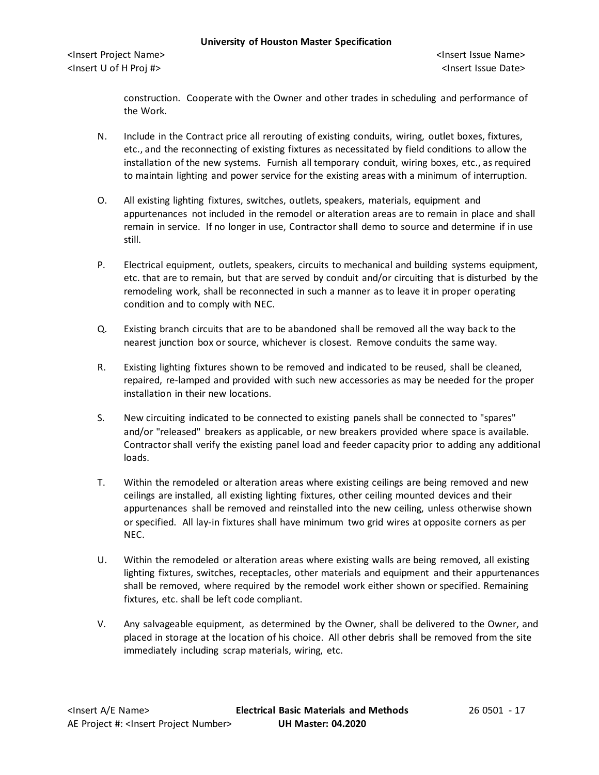construction. Cooperate with the Owner and other trades in scheduling and performance of the Work.

- N. Include in the Contract price all rerouting of existing conduits, wiring, outlet boxes, fixtures, etc., and the reconnecting of existing fixtures as necessitated by field conditions to allow the installation of the new systems. Furnish all temporary conduit, wiring boxes, etc., as required to maintain lighting and power service for the existing areas with a minimum of interruption.
- O. All existing lighting fixtures, switches, outlets, speakers, materials, equipment and appurtenances not included in the remodel or alteration areas are to remain in place and shall remain in service. If no longer in use, Contractor shall demo to source and determine if in use still.
- P. Electrical equipment, outlets, speakers, circuits to mechanical and building systems equipment, etc. that are to remain, but that are served by conduit and/or circuiting that is disturbed by the remodeling work, shall be reconnected in such a manner as to leave it in proper operating condition and to comply with NEC.
- Q. Existing branch circuits that are to be abandoned shall be removed all the way back to the nearest junction box or source, whichever is closest. Remove conduits the same way.
- R. Existing lighting fixtures shown to be removed and indicated to be reused, shall be cleaned, repaired, re-lamped and provided with such new accessories as may be needed for the proper installation in their new locations.
- S. New circuiting indicated to be connected to existing panels shall be connected to "spares" and/or "released" breakers as applicable, or new breakers provided where space is available. Contractor shall verify the existing panel load and feeder capacity prior to adding any additional loads.
- T. Within the remodeled or alteration areas where existing ceilings are being removed and new ceilings are installed, all existing lighting fixtures, other ceiling mounted devices and their appurtenances shall be removed and reinstalled into the new ceiling, unless otherwise shown or specified. All lay-in fixtures shall have minimum two grid wires at opposite corners as per NEC.
- U. Within the remodeled or alteration areas where existing walls are being removed, all existing lighting fixtures, switches, receptacles, other materials and equipment and their appurtenances shall be removed, where required by the remodel work either shown or specified. Remaining fixtures, etc. shall be left code compliant.
- V. Any salvageable equipment, as determined by the Owner, shall be delivered to the Owner, and placed in storage at the location of his choice. All other debris shall be removed from the site immediately including scrap materials, wiring, etc.